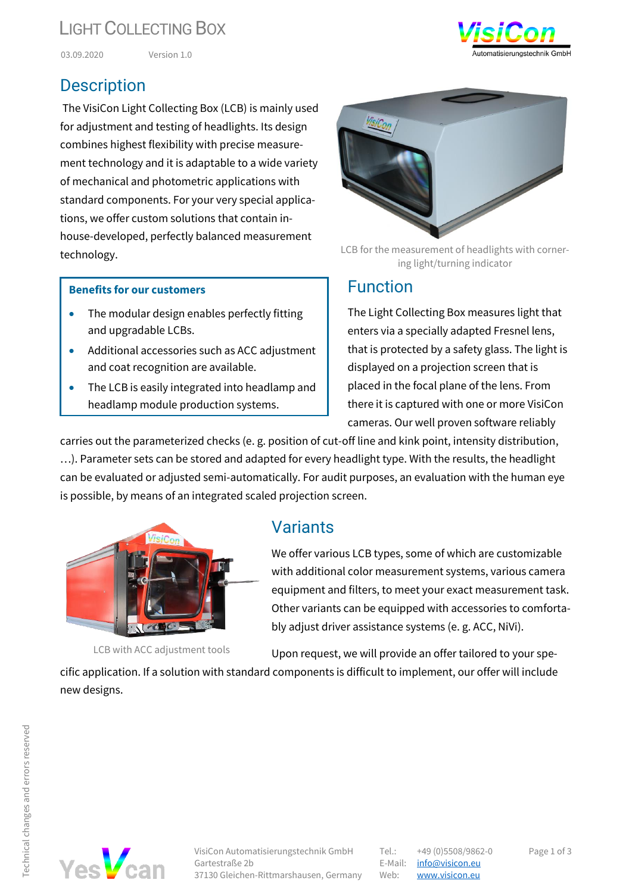# LIGHT COLLECTING BOX

03.09.2020 Version 1.0

#### **Description**

The VisiCon Light Collecting Box (LCB) is mainly used for adjustment and testing of headlights. Its design combines highest flexibility with precise measurement technology and it is adaptable to a wide variety of mechanical and photometric applications with standard components. For your very special applications, we offer custom solutions that contain inhouse-developed, perfectly balanced measurement technology.

#### **Benefits for our customers**

- The modular design enables perfectly fitting and upgradable LCBs.
- Additional accessories such as ACC adjustment and coat recognition are available.
- The LCB is easily integrated into headlamp and headlamp module production systems.

LCB for the measurement of headlights with cornering light/turning indicator

#### Function

The Light Collecting Box measures light that enters via a specially adapted Fresnel lens, that is protected by a safety glass. The light is displayed on a projection screen that is placed in the focal plane of the lens. From there it is captured with one or more VisiCon cameras. Our well proven software reliably

carries out the parameterized checks (e. g. position of cut-off line and kink point, intensity distribution, …). Parameter sets can be stored and adapted for every headlight type. With the results, the headlight can be evaluated or adjusted semi-automatically. For audit purposes, an evaluation with the human eye is possible, by means of an integrated scaled projection screen.



LCB with ACC adjustment tools

## Variants

We offer various LCB types, some of which are customizable with additional color measurement systems, various camera equipment and filters, to meet your exact measurement task. Other variants can be equipped with accessories to comfortably adjust driver assistance systems (e. g. ACC, NiVi).

Upon request, we will provide an offer tailored to your spe-

cific application. If a solution with standard components is difficult to implement, our offer will include new designs.





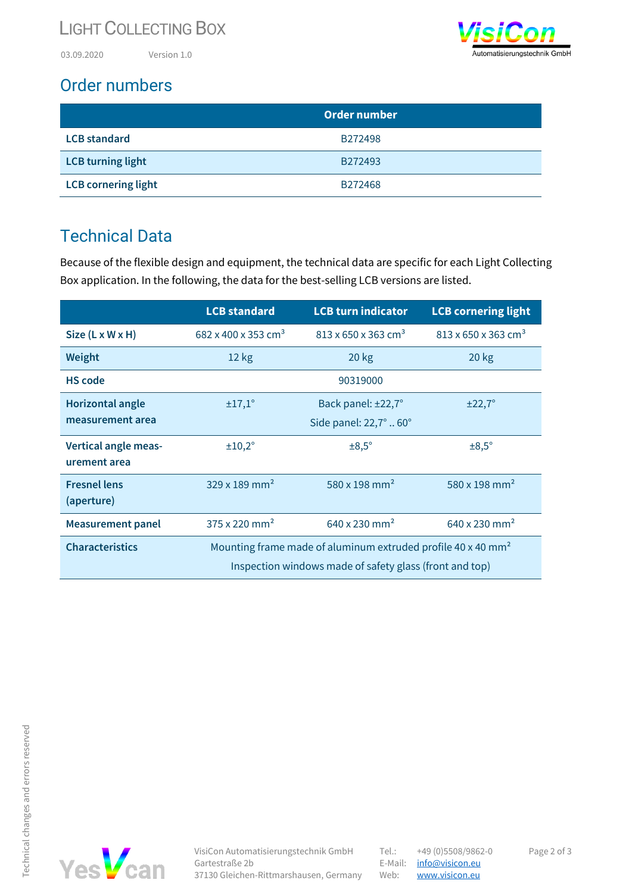## LIGHT COLLECTING BOX

03.09.2020 Version 1.0



## Order numbers

|                            | <b>Order number</b> |  |
|----------------------------|---------------------|--|
| <b>LCB</b> standard        | B272498             |  |
| <b>LCB</b> turning light   | B272493             |  |
| <b>LCB cornering light</b> | B272468             |  |

## Technical Data

Because of the flexible design and equipment, the technical data are specific for each Light Collecting Box application. In the following, the data for the best-selling LCB versions are listed.

|                                      | <b>LCB standard</b>                                                                                                                 | <b>LCB turn indicator</b>                   | <b>LCB cornering light</b>                  |
|--------------------------------------|-------------------------------------------------------------------------------------------------------------------------------------|---------------------------------------------|---------------------------------------------|
| $Size (L \times W \times H)$         | 682 x 400 x 353 cm <sup>3</sup>                                                                                                     | $813 \times 650 \times 363$ cm <sup>3</sup> | $813 \times 650 \times 363$ cm <sup>3</sup> |
| Weight                               | 12 kg                                                                                                                               | $20$ kg                                     | $20$ kg                                     |
| <b>HS</b> code                       |                                                                                                                                     | 90319000                                    |                                             |
| <b>Horizontal angle</b>              | ±17,1°                                                                                                                              | Back panel: ±22,7°                          | ±22,7°                                      |
| measurement area                     |                                                                                                                                     | Side panel: 22,7°  60°                      |                                             |
| Vertical angle meas-<br>urement area | ±10,2°                                                                                                                              | $\pm 8,5^{\circ}$                           | $\pm 8.5^\circ$                             |
| <b>Fresnel lens</b><br>(aperture)    | $329 \times 189$ mm <sup>2</sup>                                                                                                    | 580 x 198 mm <sup>2</sup>                   | 580 x 198 mm <sup>2</sup>                   |
| <b>Measurement panel</b>             | $375 \times 220$ mm <sup>2</sup>                                                                                                    | 640 x 230 mm <sup>2</sup>                   | 640 x 230 mm <sup>2</sup>                   |
| <b>Characteristics</b>               | Mounting frame made of aluminum extruded profile 40 x 40 mm <sup>2</sup><br>Inspection windows made of safety glass (front and top) |                                             |                                             |